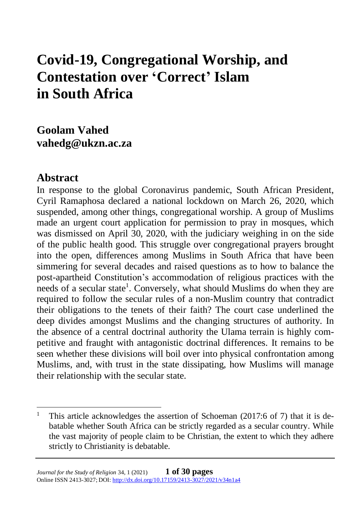# **Covid-19, Congregational Worship, and Contestation over 'Correct' Islam in South Africa**

**Goolam Vahed vahedg@ukzn.ac.za**

### **Abstract**

In response to the global Coronavirus pandemic, South African President, Cyril Ramaphosa declared a national lockdown on March 26, 2020, which suspended, among other things, congregational worship. A group of Muslims made an urgent court application for permission to pray in mosques, which was dismissed on April 30, 2020, with the judiciary weighing in on the side of the public health good. This struggle over congregational prayers brought into the open, differences among Muslims in South Africa that have been simmering for several decades and raised questions as to how to balance the post-apartheid Constitution's accommodation of religious practices with the needs of a secular state<sup>1</sup>. Conversely, what should Muslims do when they are required to follow the secular rules of a non-Muslim country that contradict their obligations to the tenets of their faith? The court case underlined the deep divides amongst Muslims and the changing structures of authority. In the absence of a central doctrinal authority the Ulama terrain is highly competitive and fraught with antagonistic doctrinal differences. It remains to be seen whether these divisions will boil over into physical confrontation among Muslims, and, with trust in the state dissipating, how Muslims will manage their relationship with the secular state.

<sup>&</sup>lt;sup>1</sup> This article acknowledges the assertion of Schoeman (2017:6 of 7) that it is debatable whether South Africa can be strictly regarded as a secular country. While the vast majority of people claim to be Christian, the extent to which they adhere strictly to Christianity is debatable.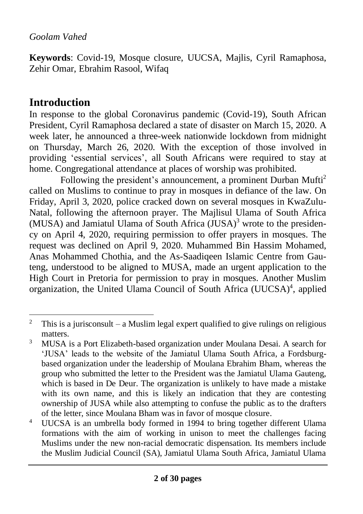**Keywords**: Covid-19, Mosque closure, UUCSA, Majlis, Cyril Ramaphosa, Zehir Omar, Ebrahim Rasool, Wifaq

# **Introduction**

In response to the global Coronavirus pandemic (Covid-19), South African President, Cyril Ramaphosa declared a state of disaster on March 15, 2020. A week later, he announced a three-week nationwide lockdown from midnight on Thursday, March 26, 2020. With the exception of those involved in providing 'essential services', all South Africans were required to stay at home. Congregational attendance at places of worship was prohibited.

Following the president's announcement, a prominent Durban Mufti<sup>2</sup> called on Muslims to continue to pray in mosques in defiance of the law. On Friday, April 3, 2020, police cracked down on several mosques in KwaZulu-Natal, following the afternoon prayer. The Majlisul Ulama of South Africa (MUSA) and Jamiatul Ulama of South Africa  $(\text{JUSA})^3$  wrote to the presidency on April 4, 2020, requiring permission to offer prayers in mosques. The request was declined on April 9, 2020. Muhammed Bin Hassim Mohamed, Anas Mohammed Chothia, and the As-Saadiqeen Islamic Centre from Gauteng, understood to be aligned to MUSA, made an urgent application to the High Court in Pretoria for permission to pray in mosques. Another Muslim organization, the United Ulama Council of South Africa (UUCSA)<sup>4</sup>, applied

<sup>&</sup>lt;sup>2</sup> This is a jurisconsult – a Muslim legal expert qualified to give rulings on religious matters.

<sup>&</sup>lt;sup>3</sup> MUSA is a Port Elizabeth-based organization under Moulana Desai. A search for 'JUSA' leads to the website of the Jamiatul Ulama South Africa, a Fordsburgbased organization under the leadership of Moulana Ebrahim Bham, whereas the group who submitted the letter to the President was the Jamiatul Ulama Gauteng, which is based in De Deur. The organization is unlikely to have made a mistake with its own name, and this is likely an indication that they are contesting ownership of JUSA while also attempting to confuse the public as to the drafters of the letter, since Moulana Bham was in favor of mosque closure.

<sup>4</sup> UUCSA is an umbrella body formed in 1994 to bring together different Ulama formations with the aim of working in unison to meet the challenges facing Muslims under the new non-racial democratic dispensation. Its members include the Muslim Judicial Council (SA), Jamiatul Ulama South Africa, Jamiatul Ulama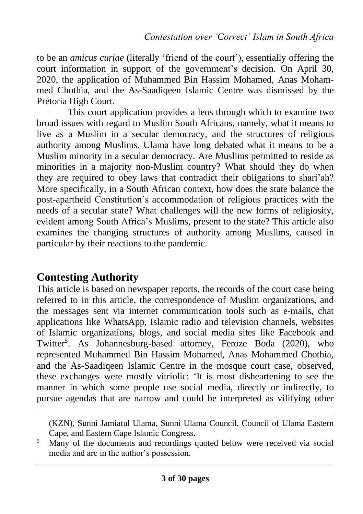to be an *amicus curiae* (literally 'friend of the court'), essentially offering the court information in support of the government's decision. On April 30, 2020, the application of Muhammed Bin Hassim Mohamed, Anas Mohammed Chothia, and the As-Saadiqeen Islamic Centre was dismissed by the Pretoria High Court.

This court application provides a lens through which to examine two broad issues with regard to Muslim South Africans, namely, what it means to live as a Muslim in a secular democracy, and the structures of religious authority among Muslims. Ulama have long debated what it means to be a Muslim minority in a secular democracy. Are Muslims permitted to reside as minorities in a majority non-Muslim country? What should they do when they are required to obey laws that contradict their obligations to shari'ah? More specifically, in a South African context, how does the state balance the post-apartheid Constitution's accommodation of religious practices with the needs of a secular state? What challenges will the new forms of religiosity, evident among South Africa's Muslims, present to the state? This article also examines the changing structures of authority among Muslims, caused in particular by their reactions to the pandemic.

### **Contesting Authority**

This article is based on newspaper reports, the records of the court case being referred to in this article, the correspondence of Muslim organizations, and the messages sent via internet communication tools such as e-mails, chat applications like WhatsApp, Islamic radio and television channels, websites of Islamic organizations, blogs, and social media sites like Facebook and Twitter<sup>5</sup>. As Johannesburg-based attorney, Feroze Boda (2020), who represented Muhammed Bin Hassim Mohamed, Anas Mohammed Chothia, and the As-Saadiqeen Islamic Centre in the mosque court case, observed, these exchanges were mostly vitriolic: 'It is most disheartening to see the manner in which some people use social media, directly or indirectly, to pursue agendas that are narrow and could be interpreted as vilifying other

(KZN), Sunni Jamiatul Ulama, Sunni Ulama Council, Council of Ulama Eastern Cape, and Eastern Cape Islamic Congress.

<sup>&</sup>lt;sup>5</sup> Many of the documents and recordings quoted below were received via social media and are in the author's possession.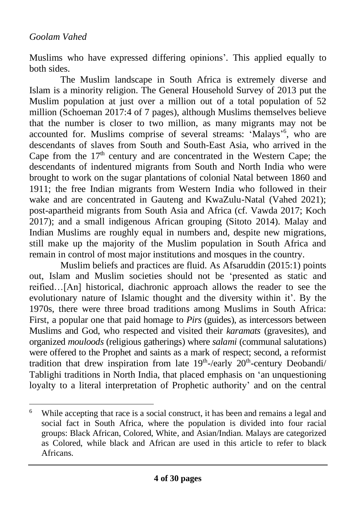Muslims who have expressed differing opinions'. This applied equally to both sides.

The Muslim landscape in South Africa is extremely diverse and Islam is a minority religion. The General Household Survey of 2013 put the Muslim population at just over a million out of a total population of 52 million (Schoeman 2017:4 of 7 pages), although Muslims themselves believe that the number is closer to two million, as many migrants may not be accounted for. Muslims comprise of several streams: 'Malays'<sup>6</sup>, who are descendants of slaves from South and South-East Asia, who arrived in the Cape from the  $17<sup>th</sup>$  century and are concentrated in the Western Cape; the descendants of indentured migrants from South and North India who were brought to work on the sugar plantations of colonial Natal between 1860 and 1911; the free Indian migrants from Western India who followed in their wake and are concentrated in Gauteng and KwaZulu-Natal (Vahed 2021); post-apartheid migrants from South Asia and Africa (cf. Vawda 2017; Koch 2017); and a small indigenous African grouping (Sitoto 2014). Malay and Indian Muslims are roughly equal in numbers and, despite new migrations, still make up the majority of the Muslim population in South Africa and remain in control of most major institutions and mosques in the country.

Muslim beliefs and practices are fluid. As Afsaruddin (2015:1) points out, Islam and Muslim societies should not be 'presented as static and reified…[An] historical, diachronic approach allows the reader to see the evolutionary nature of Islamic thought and the diversity within it'. By the 1970s, there were three broad traditions among Muslims in South Africa: First, a popular one that paid homage to *Pirs* (guides), as intercessors between Muslims and God, who respected and visited their *karamats* (gravesites), and organized *mouloods* (religious gatherings) where *salami* (communal salutations) were offered to the Prophet and saints as a mark of respect; second, a reformist tradition that drew inspiration from late  $19<sup>th</sup>$ -/early  $20<sup>th</sup>$ -century Deobandi/ Tablighi traditions in North India, that placed emphasis on 'an unquestioning loyalty to a literal interpretation of Prophetic authority' and on the central

<sup>&</sup>lt;sup>6</sup> While accepting that race is a social construct, it has been and remains a legal and social fact in South Africa, where the population is divided into four racial groups: Black African, Colored, White, and Asian/Indian. Malays are categorized as Colored, while black and African are used in this article to refer to black Africans.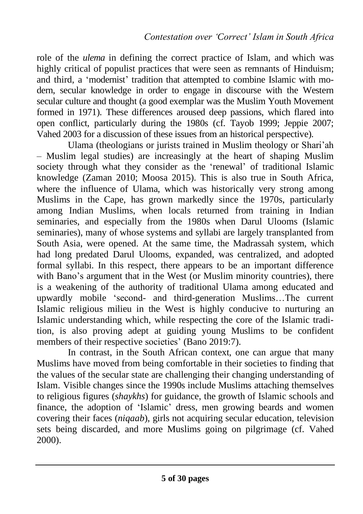role of the *ulema* in defining the correct practice of Islam, and which was highly critical of populist practices that were seen as remnants of Hinduism; and third, a 'modernist' tradition that attempted to combine Islamic with modern, secular knowledge in order to engage in discourse with the Western secular culture and thought (a good exemplar was the Muslim Youth Movement formed in 1971). These differences aroused deep passions, which flared into open conflict, particularly during the 1980s (cf. Tayob 1999; Jeppie 2007; Vahed 2003 for a discussion of these issues from an historical perspective).

Ulama (theologians or jurists trained in Muslim theology or Shari'ah – Muslim legal studies) are increasingly at the heart of shaping Muslim society through what they consider as the 'renewal' of traditional Islamic knowledge (Zaman 2010; Moosa 2015). This is also true in South Africa, where the influence of Ulama, which was historically very strong among Muslims in the Cape, has grown markedly since the 1970s, particularly among Indian Muslims, when locals returned from training in Indian seminaries, and especially from the 1980s when Darul Ulooms (Islamic seminaries), many of whose systems and syllabi are largely transplanted from South Asia, were opened. At the same time, the Madrassah system, which had long predated Darul Ulooms, expanded, was centralized, and adopted formal syllabi. In this respect, there appears to be an important difference with Bano's argument that in the West (or Muslim minority countries), there is a weakening of the authority of traditional Ulama among educated and upwardly mobile 'second- and third-generation Muslims…The current Islamic religious milieu in the West is highly conducive to nurturing an Islamic understanding which, while respecting the core of the Islamic tradition, is also proving adept at guiding young Muslims to be confident members of their respective societies' (Bano 2019:7).

In contrast, in the South African context, one can argue that many Muslims have moved from being comfortable in their societies to finding that the values of the secular state are challenging their changing understanding of Islam. Visible changes since the 1990s include Muslims attaching themselves to religious figures (*shaykhs*) for guidance, the growth of Islamic schools and finance, the adoption of 'Islamic' dress, men growing beards and women covering their faces (*niqaab*), girls not acquiring secular education, television sets being discarded, and more Muslims going on pilgrimage (cf. Vahed 2000).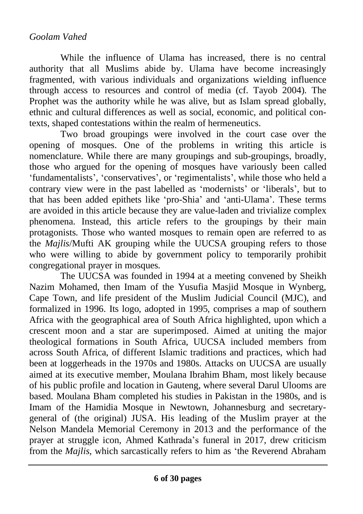While the influence of Ulama has increased, there is no central authority that all Muslims abide by. Ulama have become increasingly fragmented, with various individuals and organizations wielding influence through access to resources and control of media (cf. Tayob 2004). The Prophet was the authority while he was alive, but as Islam spread globally, ethnic and cultural differences as well as social, economic, and political contexts, shaped contestations within the realm of hermeneutics.

Two broad groupings were involved in the court case over the opening of mosques. One of the problems in writing this article is nomenclature. While there are many groupings and sub-groupings, broadly, those who argued for the opening of mosques have variously been called 'fundamentalists', 'conservatives', or 'regimentalists', while those who held a contrary view were in the past labelled as 'modernists' or 'liberals', but to that has been added epithets like 'pro-Shia' and 'anti-Ulama'. These terms are avoided in this article because they are value-laden and trivialize complex phenomena. Instead, this article refers to the groupings by their main protagonists. Those who wanted mosques to remain open are referred to as the *Majlis*/Mufti AK grouping while the UUCSA grouping refers to those who were willing to abide by government policy to temporarily prohibit congregational prayer in mosques.

The UUCSA was founded in 1994 at a meeting convened by Sheikh Nazim Mohamed, then Imam of the Yusufia Masjid Mosque in Wynberg, Cape Town, and life president of the Muslim Judicial Council (MJC), and formalized in 1996. Its logo, adopted in 1995, comprises a map of southern Africa with the geographical area of South Africa highlighted, upon which a crescent moon and a star are superimposed. Aimed at uniting the major theological formations in South Africa, UUCSA included members from across South Africa, of different Islamic traditions and practices, which had been at loggerheads in the 1970s and 1980s. Attacks on UUCSA are usually aimed at its executive member, Moulana Ibrahim Bham, most likely because of his public profile and location in Gauteng, where several Darul Ulooms are based. Moulana Bham completed his studies in Pakistan in the 1980s, and is Imam of the Hamidia Mosque in Newtown, Johannesburg and secretarygeneral of (the original) JUSA. His leading of the Muslim prayer at the Nelson Mandela Memorial Ceremony in 2013 and the performance of the prayer at struggle icon, Ahmed Kathrada's funeral in 2017, drew criticism from the *Majlis,* which sarcastically refers to him as 'the Reverend Abraham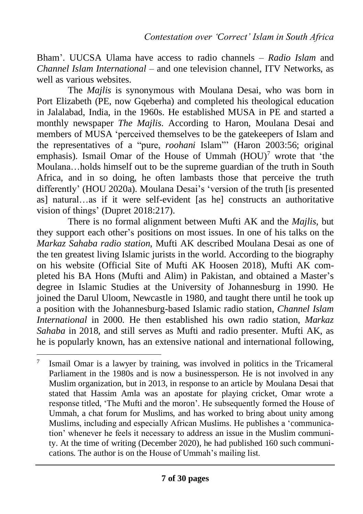Bham'. UUCSA Ulama have access to radio channels – *Radio Islam* and *Channel Islam International* – and one television channel, ITV Networks, as well as various websites.

The *Majlis* is synonymous with Moulana Desai, who was born in Port Elizabeth (PE, now Gqeberha) and completed his theological education in Jalalabad, India, in the 1960s. He established MUSA in PE and started a monthly newspaper *The Majlis*. According to Haron, Moulana Desai and members of MUSA 'perceived themselves to be the gatekeepers of Islam and the representatives of a "pure, *roohani* Islam"' (Haron 2003:56; original emphasis). Ismail Omar of the House of Ummah  $(HOU)^7$  wrote that 'the Moulana…holds himself out to be the supreme guardian of the truth in South Africa, and in so doing, he often lambasts those that perceive the truth differently' (HOU 2020a). Moulana Desai's 'version of the truth [is presented as] natural…as if it were self-evident [as he] constructs an authoritative vision of things' (Dupret 2018:217).

There is no formal alignment between Mufti AK and the *Majlis*, but they support each other's positions on most issues. In one of his talks on the *Markaz Sahaba radio station*, Mufti AK described Moulana Desai as one of the ten greatest living Islamic jurists in the world. According to the biography on his website (Official Site of Mufti AK Hoosen 2018), Mufti AK completed his BA Hons (Mufti and Alim) in Pakistan, and obtained a Master's degree in Islamic Studies at the University of Johannesburg in 1990. He joined the Darul Uloom, Newcastle in 1980, and taught there until he took up a position with the Johannesburg-based Islamic radio station, *Channel Islam International* in 2000. He then established his own radio station, *Markaz Sahaba* in 2018, and still serves as Mufti and radio presenter. Mufti AK, as he is popularly known, has an extensive national and international following,

<sup>7</sup> Ismail Omar is a lawyer by training, was involved in politics in the Tricameral Parliament in the 1980s and is now a businessperson. He is not involved in any Muslim organization, but in 2013, in response to an article by Moulana Desai that stated that Hassim Amla was an apostate for playing cricket, Omar wrote a response titled, 'The Mufti and the moron'. He subsequently formed the House of Ummah, a chat forum for Muslims, and has worked to bring about unity among Muslims, including and especially African Muslims. He publishes a 'communication' whenever he feels it necessary to address an issue in the Muslim community. At the time of writing (December 2020), he had published 160 such communications. The author is on the House of Ummah's mailing list.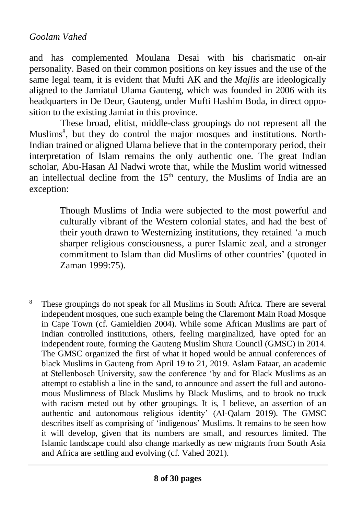and has complemented Moulana Desai with his charismatic on-air personality. Based on their common positions on key issues and the use of the same legal team, it is evident that Mufti AK and the *Majlis* are ideologically aligned to the Jamiatul Ulama Gauteng, which was founded in 2006 with its headquarters in De Deur, Gauteng, under Mufti Hashim Boda, in direct opposition to the existing Jamiat in this province.

These broad, elitist, middle-class groupings do not represent all the Muslims<sup>8</sup>, but they do control the major mosques and institutions. North-Indian trained or aligned Ulama believe that in the contemporary period, their interpretation of Islam remains the only authentic one. The great Indian scholar, Abu-Hasan Al Nadwi wrote that, while the Muslim world witnessed an intellectual decline from the  $15<sup>th</sup>$  century, the Muslims of India are an exception:

> Though Muslims of India were subjected to the most powerful and culturally vibrant of the Western colonial states, and had the best of their youth drawn to Westernizing institutions, they retained 'a much sharper religious consciousness, a purer Islamic zeal, and a stronger commitment to Islam than did Muslims of other countries' (quoted in Zaman 1999:75).

<sup>&</sup>lt;sup>8</sup> These groupings do not speak for all Muslims in South Africa. There are several independent mosques, one such example being the Claremont Main Road Mosque in Cape Town (cf. Gamieldien 2004). While some African Muslims are part of Indian controlled institutions, others, feeling marginalized, have opted for an independent route, forming the Gauteng Muslim Shura Council (GMSC) in 2014. The GMSC organized the first of what it hoped would be annual conferences of black Muslims in Gauteng from April 19 to 21, 2019. Aslam Fataar, an academic at Stellenbosch University, saw the conference 'by and for Black Muslims as an attempt to establish a line in the sand, to announce and assert the full and autonomous Muslimness of Black Muslims by Black Muslims, and to brook no truck with racism meted out by other groupings. It is, I believe, an assertion of an authentic and autonomous religious identity' (Al-Qalam 2019). The GMSC describes itself as comprising of 'indigenous' Muslims. It remains to be seen how it will develop, given that its numbers are small, and resources limited. The Islamic landscape could also change markedly as new migrants from South Asia and Africa are settling and evolving (cf. Vahed 2021).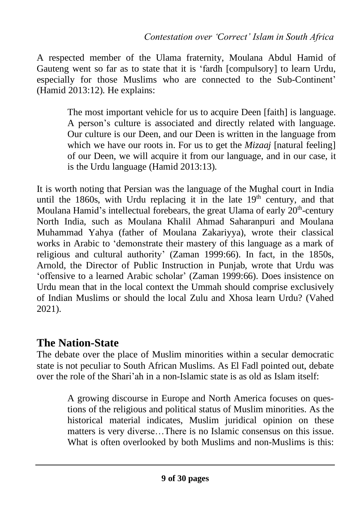A respected member of the Ulama fraternity, Moulana Abdul Hamid of Gauteng went so far as to state that it is 'fardh [compulsory] to learn Urdu, especially for those Muslims who are connected to the Sub-Continent' (Hamid 2013:12). He explains:

> The most important vehicle for us to acquire Deen [faith] is language. A person's culture is associated and directly related with language. Our culture is our Deen, and our Deen is written in the language from which we have our roots in. For us to get the *Mizaaj* [natural feeling] of our Deen, we will acquire it from our language, and in our case, it is the Urdu language (Hamid 2013:13).

It is worth noting that Persian was the language of the Mughal court in India until the 1860s, with Urdu replacing it in the late  $19<sup>th</sup>$  century, and that Moulana Hamid's intellectual forebears, the great Ulama of early 20<sup>th</sup>-century North India, such as Moulana Khalil Ahmad Saharanpuri and Moulana Muhammad Yahya (father of Moulana Zakariyya), wrote their classical works in Arabic to 'demonstrate their mastery of this language as a mark of religious and cultural authority' (Zaman 1999:66). In fact, in the 1850s, Arnold, the Director of Public Instruction in Punjab, wrote that Urdu was 'offensive to a learned Arabic scholar' (Zaman 1999:66). Does insistence on Urdu mean that in the local context the Ummah should comprise exclusively of Indian Muslims or should the local Zulu and Xhosa learn Urdu? (Vahed 2021).

### **The Nation-State**

The debate over the place of Muslim minorities within a secular democratic state is not peculiar to South African Muslims. As El Fadl pointed out, debate over the role of the Shari'ah in a non-Islamic state is as old as Islam itself:

> A growing discourse in Europe and North America focuses on questions of the religious and political status of Muslim minorities. As the historical material indicates, Muslim juridical opinion on these matters is very diverse…There is no Islamic consensus on this issue. What is often overlooked by both Muslims and non-Muslims is this: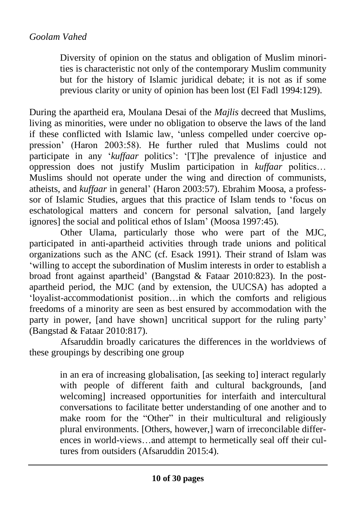Diversity of opinion on the status and obligation of Muslim minorities is characteristic not only of the contemporary Muslim community but for the history of Islamic juridical debate; it is not as if some previous clarity or unity of opinion has been lost (El Fadl 1994:129).

During the apartheid era, Moulana Desai of the *Majlis* decreed that Muslims, living as minorities, were under no obligation to observe the laws of the land if these conflicted with Islamic law, 'unless compelled under coercive oppression' (Haron 2003:58). He further ruled that Muslims could not participate in any '*kuffaar* politics': '[T]he prevalence of injustice and oppression does not justify Muslim participation in *kuffaar* politics… Muslims should not operate under the wing and direction of communists, atheists, and *kuffaar* in general' (Haron 2003:57). Ebrahim Moosa, a professsor of Islamic Studies, argues that this practice of Islam tends to 'focus on eschatological matters and concern for personal salvation, [and largely ignores] the social and political ethos of Islam' (Moosa 1997:45).

Other Ulama, particularly those who were part of the MJC, participated in anti-apartheid activities through trade unions and political organizations such as the ANC (cf. Esack 1991). Their strand of Islam was 'willing to accept the subordination of Muslim interests in order to establish a broad front against apartheid' (Bangstad & Fataar 2010:823). In the postapartheid period, the MJC (and by extension, the UUCSA) has adopted a 'loyalist-accommodationist position…in which the comforts and religious freedoms of a minority are seen as best ensured by accommodation with the party in power, [and have shown] uncritical support for the ruling party' (Bangstad & Fataar 2010:817).

Afsaruddin broadly caricatures the differences in the worldviews of these groupings by describing one group

> in an era of increasing globalisation, [as seeking to] interact regularly with people of different faith and cultural backgrounds, [and welcoming] increased opportunities for interfaith and intercultural conversations to facilitate better understanding of one another and to make room for the "Other" in their multicultural and religiously plural environments. [Others, however,] warn of irreconcilable differences in world-views…and attempt to hermetically seal off their cultures from outsiders (Afsaruddin 2015:4).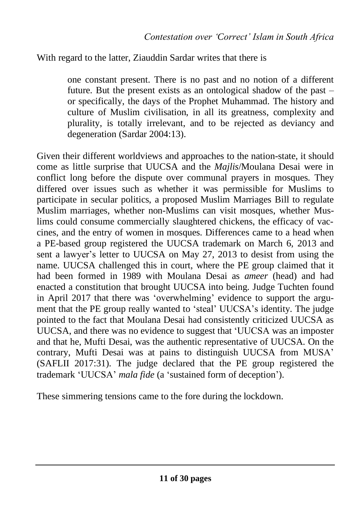#### With regard to the latter, Ziauddin Sardar writes that there is

one constant present. There is no past and no notion of a different future. But the present exists as an ontological shadow of the past – or specifically, the days of the Prophet Muhammad. The history and culture of Muslim civilisation, in all its greatness, complexity and plurality, is totally irrelevant, and to be rejected as deviancy and degeneration (Sardar 2004:13).

Given their different worldviews and approaches to the nation-state, it should come as little surprise that UUCSA and the *Majlis*/Moulana Desai were in conflict long before the dispute over communal prayers in mosques. They differed over issues such as whether it was permissible for Muslims to participate in secular politics, a proposed Muslim Marriages Bill to regulate Muslim marriages, whether non-Muslims can visit mosques, whether Muslims could consume commercially slaughtered chickens, the efficacy of vaccines, and the entry of women in mosques. Differences came to a head when a PE-based group registered the UUCSA trademark on March 6, 2013 and sent a lawyer's letter to UUCSA on May 27, 2013 to desist from using the name. UUCSA challenged this in court, where the PE group claimed that it had been formed in 1989 with Moulana Desai as *ameer* (head) and had enacted a constitution that brought UUCSA into being. Judge Tuchten found in April 2017 that there was 'overwhelming' evidence to support the argument that the PE group really wanted to 'steal' UUCSA's identity. The judge pointed to the fact that Moulana Desai had consistently criticized UUCSA as UUCSA, and there was no evidence to suggest that 'UUCSA was an imposter and that he, Mufti Desai, was the authentic representative of UUCSA. On the contrary, Mufti Desai was at pains to distinguish UUCSA from MUSA' (SAFLII 2017:31). The judge declared that the PE group registered the trademark 'UUCSA' *mala fide* (a 'sustained form of deception').

These simmering tensions came to the fore during the lockdown.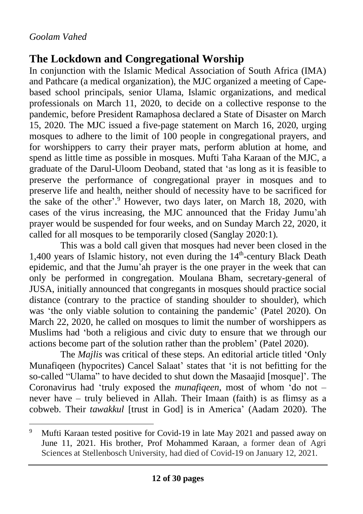# **The Lockdown and Congregational Worship**

In conjunction with the Islamic Medical Association of South Africa (IMA) and Pathcare (a medical organization), the MJC organized a meeting of Capebased school principals, senior Ulama, Islamic organizations, and medical professionals on March 11, 2020, to decide on a collective response to the pandemic, before President Ramaphosa declared a State of Disaster on March 15, 2020. The MJC issued a five-page statement on March 16, 2020, urging mosques to adhere to the limit of 100 people in congregational prayers, and for worshippers to carry their prayer mats, perform ablution at home, and spend as little time as possible in mosques. Mufti Taha Karaan of the MJC, a graduate of the Darul-Uloom Deoband, stated that 'as long as it is feasible to preserve the performance of congregational prayer in mosques and to preserve life and health, neither should of necessity have to be sacrificed for the sake of the other'.<sup>9</sup> However, two days later, on March 18, 2020, with cases of the virus increasing, the MJC announced that the Friday Jumu'ah prayer would be suspended for four weeks, and on Sunday March 22, 2020, it called for all mosques to be temporarily closed (Sanglay 2020:1).

This was a bold call given that mosques had never been closed in the 1,400 years of Islamic history, not even during the  $14<sup>th</sup>$ -century Black Death epidemic, and that the Jumu'ah prayer is the one prayer in the week that can only be performed in congregation. Moulana Bham, secretary-general of JUSA, initially announced that congregants in mosques should practice social distance (contrary to the practice of standing shoulder to shoulder), which was 'the only viable solution to containing the pandemic' (Patel 2020). On March 22, 2020, he called on mosques to limit the number of worshippers as Muslims had 'both a religious and civic duty to ensure that we through our actions become part of the solution rather than the problem' (Patel 2020).

The *Majlis* was critical of these steps. An editorial article titled 'Only Munafiqeen (hypocrites) Cancel Salaat' states that 'it is not befitting for the so-called "Ulama" to have decided to shut down the Masaajid [mosque]'. The Coronavirus had 'truly exposed the *munafiqeen*, most of whom 'do not – never have – truly believed in Allah. Their Imaan (faith) is as flimsy as a cobweb. Their *tawakkul* [trust in God] is in America' (Aadam 2020). The

<sup>9</sup> Mufti Karaan tested positive for Covid-19 in late May 2021 and passed away on June 11, 2021. His brother, Prof Mohammed Karaan, a former dean of Agri Sciences at Stellenbosch University, had died of Covid-19 on January 12, 2021.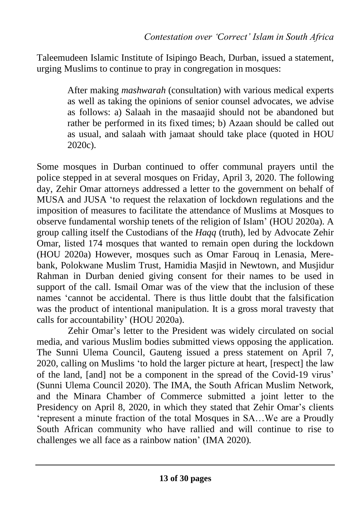Taleemudeen Islamic Institute of Isipingo Beach, Durban, issued a statement, urging Muslims to continue to pray in congregation in mosques:

> After making *mashwarah* (consultation) with various medical experts as well as taking the opinions of senior counsel advocates, we advise as follows: a) Salaah in the masaajid should not be abandoned but rather be performed in its fixed times; b) Azaan should be called out as usual, and salaah with jamaat should take place (quoted in HOU 2020c).

Some mosques in Durban continued to offer communal prayers until the police stepped in at several mosques on Friday, April 3, 2020. The following day, Zehir Omar attorneys addressed a letter to the government on behalf of MUSA and JUSA 'to request the relaxation of lockdown regulations and the imposition of measures to facilitate the attendance of Muslims at Mosques to observe fundamental worship tenets of the religion of Islam' (HOU 2020a). A group calling itself the Custodians of the *Haqq* (truth), led by Advocate Zehir Omar, listed 174 mosques that wanted to remain open during the lockdown (HOU 2020a) However, mosques such as Omar Farouq in Lenasia, Merebank, Polokwane Muslim Trust, Hamidia Masjid in Newtown, and Musjidur Rahman in Durban denied giving consent for their names to be used in support of the call. Ismail Omar was of the view that the inclusion of these names 'cannot be accidental. There is thus little doubt that the falsification was the product of intentional manipulation. It is a gross moral travesty that calls for accountability' (HOU 2020a).

Zehir Omar's letter to the President was widely circulated on social media, and various Muslim bodies submitted views opposing the application. The Sunni Ulema Council, Gauteng issued a press statement on April 7, 2020, calling on Muslims 'to hold the larger picture at heart, [respect] the law of the land, [and] not be a component in the spread of the Covid-19 virus' (Sunni Ulema Council 2020). The IMA, the South African Muslim Network, and the Minara Chamber of Commerce submitted a joint letter to the Presidency on April 8, 2020, in which they stated that Zehir Omar's clients 'represent a minute fraction of the total Mosques in SA…We are a Proudly South African community who have rallied and will continue to rise to challenges we all face as a rainbow nation' (IMA 2020).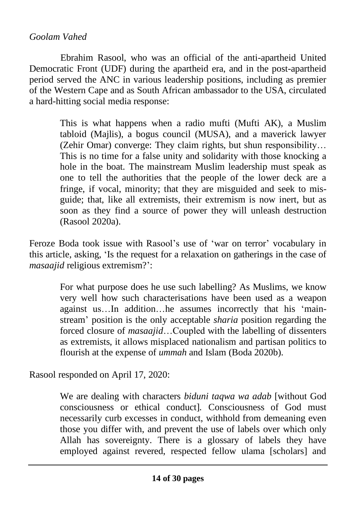Ebrahim Rasool, who was an official of the anti-apartheid United Democratic Front (UDF) during the apartheid era, and in the post-apartheid period served the ANC in various leadership positions, including as premier of the Western Cape and as South African ambassador to the USA, circulated a hard-hitting social media response:

> This is what happens when a radio mufti (Mufti AK), a Muslim tabloid (Majlis), a bogus council (MUSA), and a maverick lawyer (Zehir Omar) converge: They claim rights, but shun responsibility… This is no time for a false unity and solidarity with those knocking a hole in the boat. The mainstream Muslim leadership must speak as one to tell the authorities that the people of the lower deck are a fringe, if vocal, minority; that they are misguided and seek to misguide; that, like all extremists, their extremism is now inert, but as soon as they find a source of power they will unleash destruction (Rasool 2020a).

Feroze Boda took issue with Rasool's use of 'war on terror' vocabulary in this article, asking, 'Is the request for a relaxation on gatherings in the case of *masaajid* religious extremism?':

> For what purpose does he use such labelling? As Muslims, we know very well how such characterisations have been used as a weapon against us…In addition…he assumes incorrectly that his 'mainstream' position is the only acceptable *sharia* position regarding the forced closure of *masaajid*…Coupled with the labelling of dissenters as extremists, it allows misplaced nationalism and partisan politics to flourish at the expense of *ummah* and Islam (Boda 2020b).

Rasool responded on April 17, 2020:

We are dealing with characters *biduni taqwa wa adab* [without God consciousness or ethical conduct]*.* Consciousness of God must necessarily curb excesses in conduct, withhold from demeaning even those you differ with, and prevent the use of labels over which only Allah has sovereignty. There is a glossary of labels they have employed against revered, respected fellow ulama [scholars] and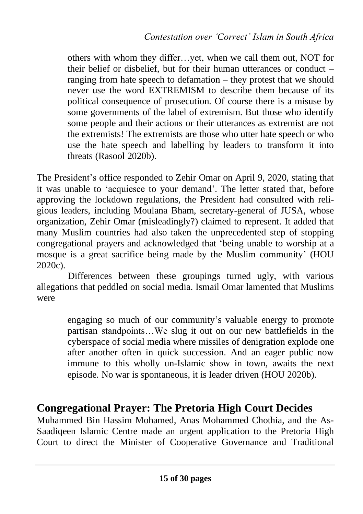others with whom they differ…yet, when we call them out, NOT for their belief or disbelief, but for their human utterances or conduct – ranging from hate speech to defamation – they protest that we should never use the word EXTREMISM to describe them because of its political consequence of prosecution. Of course there is a misuse by some governments of the label of extremism. But those who identify some people and their actions or their utterances as extremist are not the extremists! The extremists are those who utter hate speech or who use the hate speech and labelling by leaders to transform it into threats (Rasool 2020b).

The President's office responded to Zehir Omar on April 9, 2020, stating that it was unable to 'acquiesce to your demand'. The letter stated that, before approving the lockdown regulations, the President had consulted with religious leaders, including Moulana Bham, secretary-general of JUSA, whose organization, Zehir Omar (misleadingly?) claimed to represent. It added that many Muslim countries had also taken the unprecedented step of stopping congregational prayers and acknowledged that 'being unable to worship at a mosque is a great sacrifice being made by the Muslim community' (HOU 2020c).

Differences between these groupings turned ugly, with various allegations that peddled on social media. Ismail Omar lamented that Muslims were

> engaging so much of our community's valuable energy to promote partisan standpoints…We slug it out on our new battlefields in the cyberspace of social media where missiles of denigration explode one after another often in quick succession. And an eager public now immune to this wholly un-Islamic show in town, awaits the next episode. No war is spontaneous, it is leader driven (HOU 2020b).

### **Congregational Prayer: The Pretoria High Court Decides**

Muhammed Bin Hassim Mohamed, Anas Mohammed Chothia, and the As-Saadiqeen Islamic Centre made an urgent application to the Pretoria High Court to direct the Minister of Cooperative Governance and Traditional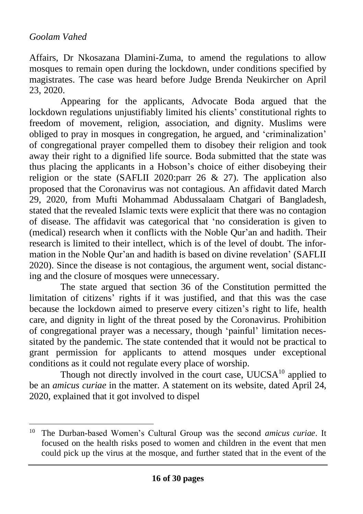Affairs, Dr Nkosazana Dlamini-Zuma, to amend the regulations to allow mosques to remain open during the lockdown, under conditions specified by magistrates. The case was heard before Judge Brenda Neukircher on April 23, 2020.

Appearing for the applicants, Advocate Boda argued that the lockdown regulations unjustifiably limited his clients' constitutional rights to freedom of movement, religion, association, and dignity. Muslims were obliged to pray in mosques in congregation, he argued, and 'criminalization' of congregational prayer compelled them to disobey their religion and took away their right to a dignified life source. Boda submitted that the state was thus placing the applicants in a Hobson's choice of either disobeying their religion or the state (SAFLII 2020:parr 26 & 27). The application also proposed that the Coronavirus was not contagious. An affidavit dated March 29, 2020, from Mufti Mohammad Abdussalaam Chatgari of Bangladesh, stated that the revealed Islamic texts were explicit that there was no contagion of disease. The affidavit was categorical that 'no consideration is given to (medical) research when it conflicts with the Noble Qur'an and hadith. Their research is limited to their intellect, which is of the level of doubt. The information in the Noble Qur'an and hadith is based on divine revelation' (SAFLII 2020). Since the disease is not contagious, the argument went, social distancing and the closure of mosques were unnecessary.

The state argued that section 36 of the Constitution permitted the limitation of citizens' rights if it was justified, and that this was the case because the lockdown aimed to preserve every citizen's right to life, health care, and dignity in light of the threat posed by the Coronavirus. Prohibition of congregational prayer was a necessary, though 'painful' limitation necessitated by the pandemic. The state contended that it would not be practical to grant permission for applicants to attend mosques under exceptional conditions as it could not regulate every place of worship.

Though not directly involved in the court case, UUCSA<sup>10</sup> applied to be an *amicus curiae* in the matter. A statement on its website, dated April 24, 2020, explained that it got involved to dispel

<sup>10</sup> The Durban-based Women's Cultural Group was the second *amicus curiae*. It focused on the health risks posed to women and children in the event that men could pick up the virus at the mosque, and further stated that in the event of the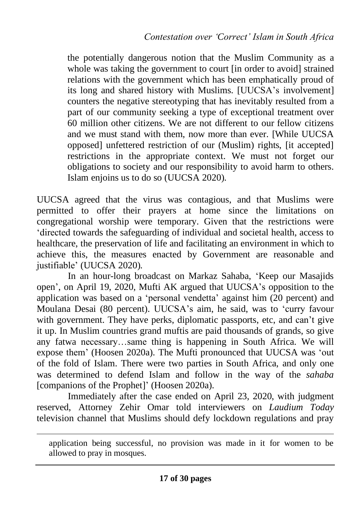the potentially dangerous notion that the Muslim Community as a whole was taking the government to court [in order to avoid] strained relations with the government which has been emphatically proud of its long and shared history with Muslims. [UUCSA's involvement] counters the negative stereotyping that has inevitably resulted from a part of our community seeking a type of exceptional treatment over 60 million other citizens. We are not different to our fellow citizens and we must stand with them, now more than ever. [While UUCSA opposed] unfettered restriction of our (Muslim) rights, [it accepted] restrictions in the appropriate context. We must not forget our obligations to society and our responsibility to avoid harm to others. Islam enjoins us to do so (UUCSA 2020).

UUCSA agreed that the virus was contagious, and that Muslims were permitted to offer their prayers at home since the limitations on congregational worship were temporary. Given that the restrictions were 'directed towards the safeguarding of individual and societal health, access to healthcare, the preservation of life and facilitating an environment in which to achieve this, the measures enacted by Government are reasonable and justifiable' (UUCSA 2020).

In an hour-long broadcast on Markaz Sahaba, 'Keep our Masajids open', on April 19, 2020, Mufti AK argued that UUCSA's opposition to the application was based on a 'personal vendetta' against him (20 percent) and Moulana Desai (80 percent). UUCSA's aim, he said, was to 'curry favour with government. They have perks, diplomatic passports, etc, and can't give it up. In Muslim countries grand muftis are paid thousands of grands, so give any fatwa necessary…same thing is happening in South Africa. We will expose them' (Hoosen 2020a). The Mufti pronounced that UUCSA was 'out of the fold of Islam. There were two parties in South Africa, and only one was determined to defend Islam and follow in the way of the *sahaba* [companions of the Prophet]' (Hoosen 2020a).

Immediately after the case ended on April 23, 2020, with judgment reserved, Attorney Zehir Omar told interviewers on *Laudium Today* television channel that Muslims should defy lockdown regulations and pray

application being successful, no provision was made in it for women to be allowed to pray in mosques.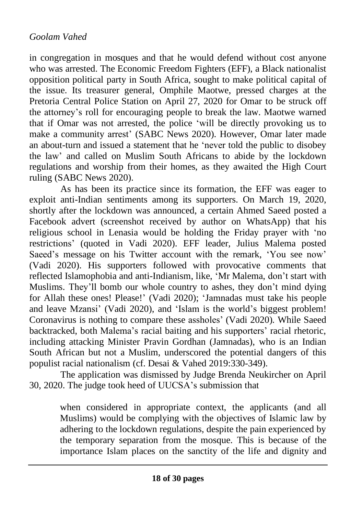in congregation in mosques and that he would defend without cost anyone who was arrested. The Economic Freedom Fighters (EFF), a Black nationalist opposition political party in South Africa, sought to make political capital of the issue. Its treasurer general, Omphile Maotwe, pressed charges at the Pretoria Central Police Station on April 27, 2020 for Omar to be struck off the attorney's roll for encouraging people to break the law. Maotwe warned that if Omar was not arrested, the police 'will be directly provoking us to make a community arrest' (SABC News 2020). However, Omar later made an about-turn and issued a statement that he 'never told the public to disobey the law' and called on Muslim South Africans to abide by the lockdown regulations and worship from their homes, as they awaited the High Court ruling (SABC News 2020).

As has been its practice since its formation, the EFF was eager to exploit anti-Indian sentiments among its supporters. On March 19, 2020, shortly after the lockdown was announced, a certain Ahmed Saeed posted a Facebook advert (screenshot received by author on WhatsApp) that his religious school in Lenasia would be holding the Friday prayer with 'no restrictions' (quoted in Vadi 2020). EFF leader, Julius Malema posted Saeed's message on his Twitter account with the remark, 'You see now' (Vadi 2020). His supporters followed with provocative comments that reflected Islamophobia and anti-Indianism, like, 'Mr Malema, don't start with Muslims. They'll bomb our whole country to ashes, they don't mind dying for Allah these ones! Please!' (Vadi 2020); 'Jamnadas must take his people and leave Mzansi' (Vadi 2020), and 'Islam is the world's biggest problem! Coronavirus is nothing to compare these assholes' (Vadi 2020). While Saeed backtracked, both Malema's racial baiting and his supporters' racial rhetoric, including attacking Minister Pravin Gordhan (Jamnadas), who is an Indian South African but not a Muslim, underscored the potential dangers of this populist racial nationalism (cf. Desai & Vahed 2019:330-349).

The application was dismissed by Judge Brenda Neukircher on April 30, 2020. The judge took heed of UUCSA's submission that

> when considered in appropriate context, the applicants (and all Muslims) would be complying with the objectives of Islamic law by adhering to the lockdown regulations, despite the pain experienced by the temporary separation from the mosque. This is because of the importance Islam places on the sanctity of the life and dignity and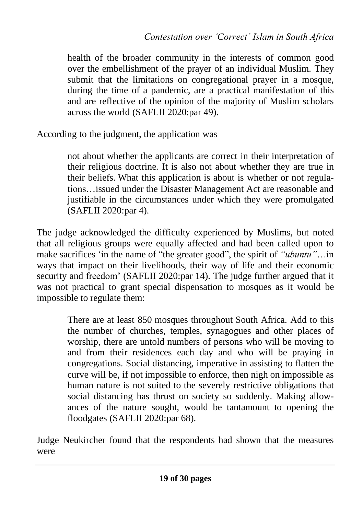health of the broader community in the interests of common good over the embellishment of the prayer of an individual Muslim. They submit that the limitations on congregational prayer in a mosque, during the time of a pandemic, are a practical manifestation of this and are reflective of the opinion of the majority of Muslim scholars across the world (SAFLII 2020:par 49).

According to the judgment, the application was

not about whether the applicants are correct in their interpretation of their religious doctrine. It is also not about whether they are true in their beliefs. What this application is about is whether or not regulations…issued under the Disaster Management Act are reasonable and justifiable in the circumstances under which they were promulgated (SAFLII 2020:par 4).

The judge acknowledged the difficulty experienced by Muslims, but noted that all religious groups were equally affected and had been called upon to make sacrifices 'in the name of "the greater good", the spirit of *"ubuntu"*…in ways that impact on their livelihoods, their way of life and their economic security and freedom' (SAFLII 2020:par 14). The judge further argued that it was not practical to grant special dispensation to mosques as it would be impossible to regulate them:

> There are at least 850 mosques throughout South Africa. Add to this the number of churches, temples, synagogues and other places of worship, there are untold numbers of persons who will be moving to and from their residences each day and who will be praying in congregations. Social distancing, imperative in assisting to flatten the curve will be, if not impossible to enforce, then nigh on impossible as human nature is not suited to the severely restrictive obligations that social distancing has thrust on society so suddenly. Making allowances of the nature sought, would be tantamount to opening the floodgates (SAFLII 2020:par 68).

Judge Neukircher found that the respondents had shown that the measures were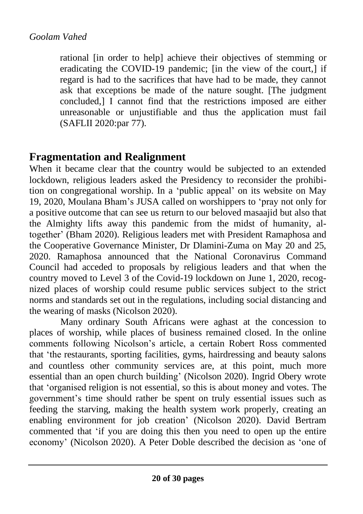rational [in order to help] achieve their objectives of stemming or eradicating the COVID-19 pandemic; [in the view of the court,] if regard is had to the sacrifices that have had to be made, they cannot ask that exceptions be made of the nature sought. [The judgment concluded, $\overline{I}$  cannot find that the restrictions imposed are either unreasonable or unjustifiable and thus the application must fail (SAFLII 2020:par 77).

### **Fragmentation and Realignment**

When it became clear that the country would be subjected to an extended lockdown, religious leaders asked the Presidency to reconsider the prohibition on congregational worship. In a 'public appeal' on its website on May 19, 2020, Moulana Bham's JUSA called on worshippers to 'pray not only for a positive outcome that can see us return to our beloved masaajid but also that the Almighty lifts away this pandemic from the midst of humanity, altogether' (Bham 2020). Religious leaders met with President Ramaphosa and the Cooperative Governance Minister, Dr Dlamini-Zuma on May 20 and 25, 2020. Ramaphosa announced that the National Coronavirus Command Council had acceded to proposals by religious leaders and that when the country moved to Level 3 of the Covid-19 lockdown on June 1, 2020, recognized places of worship could resume public services subject to the strict norms and standards set out in the regulations, including social distancing and the wearing of masks (Nicolson 2020).

Many ordinary South Africans were aghast at the concession to places of worship, while places of business remained closed. In the online comments following Nicolson's article, a certain Robert Ross commented that 'the restaurants, sporting facilities, gyms, hairdressing and beauty salons and countless other community services are, at this point, much more essential than an open church building' (Nicolson 2020). Ingrid Obery wrote that 'organised religion is not essential, so this is about money and votes. The government's time should rather be spent on truly essential issues such as feeding the starving, making the health system work properly, creating an enabling environment for job creation' (Nicolson 2020). David Bertram commented that 'if you are doing this then you need to open up the entire economy' (Nicolson 2020). A Peter Doble described the decision as 'one of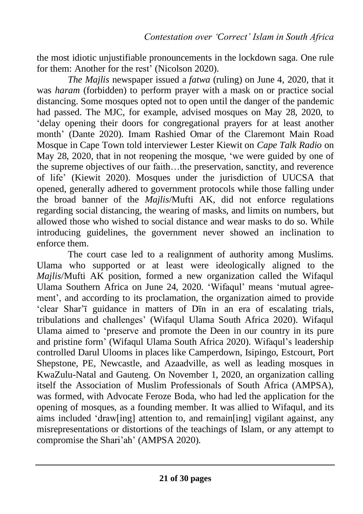the most idiotic unjustifiable pronouncements in the lockdown saga. One rule for them: Another for the rest' (Nicolson 2020).

*The Majlis* newspaper issued a *fatwa* (ruling) on June 4, 2020, that it was *haram* (forbidden) to perform prayer with a mask on or practice social distancing. Some mosques opted not to open until the danger of the pandemic had passed. The MJC, for example, advised mosques on May 28, 2020, to 'delay opening their doors for congregational prayers for at least another month' (Dante 2020). Imam Rashied Omar of the Claremont Main Road Mosque in Cape Town told interviewer Lester Kiewit on *Cape Talk Radio* on May 28, 2020, that in not reopening the mosque, 'we were guided by one of the supreme objectives of our faith…the preservation, sanctity, and reverence of life' (Kiewit 2020). Mosques under the jurisdiction of UUCSA that opened, generally adhered to government protocols while those falling under the broad banner of the *Majlis*/Mufti AK, did not enforce regulations regarding social distancing, the wearing of masks, and limits on numbers, but allowed those who wished to social distance and wear masks to do so. While introducing guidelines, the government never showed an inclination to enforce them.

The court case led to a realignment of authority among Muslims. Ulama who supported or at least were ideologically aligned to the *Majlis*/Mufti AK position, formed a new organization called the Wifaqul Ulama Southern Africa on June 24, 2020. 'Wifaqul' means 'mutual agreement', and according to its proclamation, the organization aimed to provide 'clear Shar'ī guidance in matters of Dīn in an era of escalating trials, tribulations and challenges' (Wifaqul Ulama South Africa 2020). Wifaqul Ulama aimed to 'preserve and promote the Deen in our country in its pure and pristine form' (Wifaqul Ulama South Africa 2020). Wifaqul's leadership controlled Darul Ulooms in places like Camperdown, Isipingo, Estcourt, Port Shepstone, PE, Newcastle, and Azaadville, as well as leading mosques in KwaZulu-Natal and Gauteng. On November 1, 2020, an organization calling itself the Association of Muslim Professionals of South Africa (AMPSA), was formed, with Advocate Feroze Boda, who had led the application for the opening of mosques, as a founding member. It was allied to Wifaqul, and its aims included 'draw[ing] attention to, and remain[ing] vigilant against, any misrepresentations or distortions of the teachings of Islam, or any attempt to compromise the Shari'ah' (AMPSA 2020).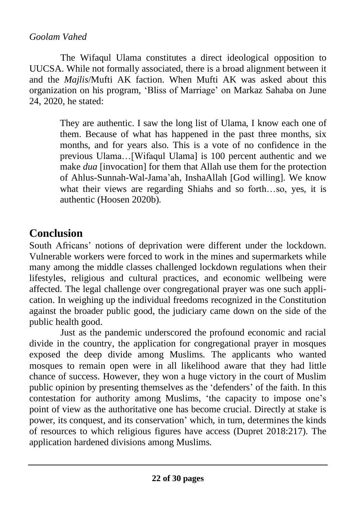The Wifaqul Ulama constitutes a direct ideological opposition to UUCSA. While not formally associated, there is a broad alignment between it and the *Majlis*/Mufti AK faction. When Mufti AK was asked about this organization on his program, 'Bliss of Marriage' on Markaz Sahaba on June 24, 2020, he stated:

> They are authentic. I saw the long list of Ulama, I know each one of them. Because of what has happened in the past three months, six months, and for years also. This is a vote of no confidence in the previous Ulama…[Wifaqul Ulama] is 100 percent authentic and we make *dua* [invocation] for them that Allah use them for the protection of Ahlus-Sunnah-Wal-Jama'ah, InshaAllah [God willing]. We know what their views are regarding Shiahs and so forth…so, yes, it is authentic (Hoosen 2020b).

# **Conclusion**

South Africans' notions of deprivation were different under the lockdown. Vulnerable workers were forced to work in the mines and supermarkets while many among the middle classes challenged lockdown regulations when their lifestyles, religious and cultural practices, and economic wellbeing were affected. The legal challenge over congregational prayer was one such application. In weighing up the individual freedoms recognized in the Constitution against the broader public good, the judiciary came down on the side of the public health good.

Just as the pandemic underscored the profound economic and racial divide in the country, the application for congregational prayer in mosques exposed the deep divide among Muslims. The applicants who wanted mosques to remain open were in all likelihood aware that they had little chance of success. However, they won a huge victory in the court of Muslim public opinion by presenting themselves as the 'defenders' of the faith. In this contestation for authority among Muslims, 'the capacity to impose one's point of view as the authoritative one has become crucial. Directly at stake is power, its conquest, and its conservation' which, in turn, determines the kinds of resources to which religious figures have access (Dupret 2018:217). The application hardened divisions among Muslims.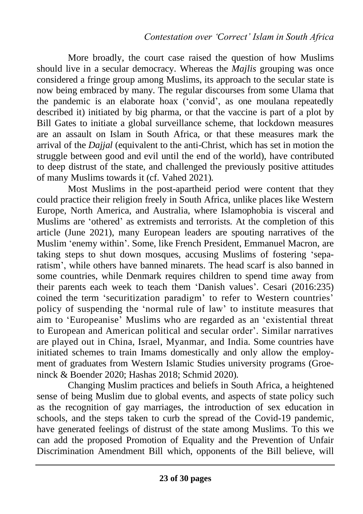More broadly, the court case raised the question of how Muslims should live in a secular democracy. Whereas the *Majlis* grouping was once considered a fringe group among Muslims, its approach to the secular state is now being embraced by many. The regular discourses from some Ulama that the pandemic is an elaborate hoax ('convid', as one moulana repeatedly described it) initiated by big pharma, or that the vaccine is part of a plot by Bill Gates to initiate a global surveillance scheme, that lockdown measures are an assault on Islam in South Africa, or that these measures mark the arrival of the *Dajjal* (equivalent to the anti-Christ, which has set in motion the struggle between good and evil until the end of the world), have contributed to deep distrust of the state, and challenged the previously positive attitudes of many Muslims towards it (cf. Vahed 2021).

Most Muslims in the post-apartheid period were content that they could practice their religion freely in South Africa, unlike places like Western Europe, North America, and Australia, where Islamophobia is visceral and Muslims are 'othered' as extremists and terrorists. At the completion of this article (June 2021), many European leaders are spouting narratives of the Muslim 'enemy within'. Some, like French President, Emmanuel Macron, are taking steps to shut down mosques, accusing Muslims of fostering 'separatism', while others have banned minarets. The head scarf is also banned in some countries, while Denmark requires children to spend time away from their parents each week to teach them 'Danish values'. Cesari (2016:235) coined the term 'securitization paradigm' to refer to Western countries' policy of suspending the 'normal rule of law' to institute measures that aim to 'Europeanise' Muslims who are regarded as an 'existential threat to European and American political and secular order'. Similar narratives are played out in China, Israel, Myanmar, and India. Some countries have initiated schemes to train Imams domestically and only allow the employment of graduates from Western Islamic Studies university programs (Groeninck & Boender 2020; Hashas 2018; Schmid 2020).

Changing Muslim practices and beliefs in South Africa, a heightened sense of being Muslim due to global events, and aspects of state policy such as the recognition of gay marriages, the introduction of sex education in schools, and the steps taken to curb the spread of the Covid-19 pandemic, have generated feelings of distrust of the state among Muslims. To this we can add the proposed Promotion of Equality and the Prevention of Unfair Discrimination Amendment Bill which, opponents of the Bill believe, will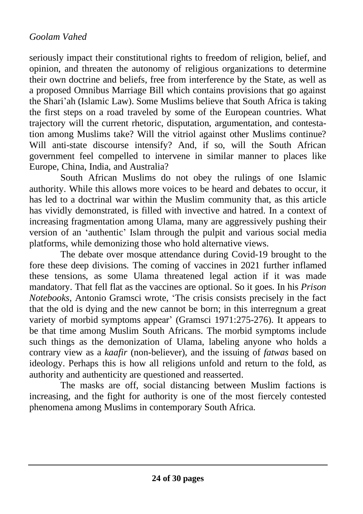seriously impact their constitutional rights to freedom of religion, belief, and opinion, and threaten the autonomy of religious organizations to determine their own doctrine and beliefs, free from interference by the State, as well as a proposed Omnibus Marriage Bill which contains provisions that go against the Shari'ah (Islamic Law). Some Muslims believe that South Africa is taking the first steps on a road traveled by some of the European countries. What trajectory will the current rhetoric, disputation, argumentation, and contestation among Muslims take? Will the vitriol against other Muslims continue? Will anti-state discourse intensify? And, if so, will the South African government feel compelled to intervene in similar manner to places like Europe, China, India, and Australia?

South African Muslims do not obey the rulings of one Islamic authority. While this allows more voices to be heard and debates to occur, it has led to a doctrinal war within the Muslim community that, as this article has vividly demonstrated, is filled with invective and hatred. In a context of increasing fragmentation among Ulama, many are aggressively pushing their version of an 'authentic' Islam through the pulpit and various social media platforms, while demonizing those who hold alternative views.

The debate over mosque attendance during Covid-19 brought to the fore these deep divisions. The coming of vaccines in 2021 further inflamed these tensions, as some Ulama threatened legal action if it was made mandatory. That fell flat as the vaccines are optional. So it goes. In his *Prison Notebooks*, Antonio Gramsci wrote, 'The crisis consists precisely in the fact that the old is dying and the new cannot be born; in this interregnum a great variety of morbid symptoms appear' (Gramsci 1971:275-276). It appears to be that time among Muslim South Africans. The morbid symptoms include such things as the demonization of Ulama, labeling anyone who holds a contrary view as a *kaafir* (non-believer), and the issuing of *fatwas* based on ideology. Perhaps this is how all religions unfold and return to the fold, as authority and authenticity are questioned and reasserted.

The masks are off, social distancing between Muslim factions is increasing, and the fight for authority is one of the most fiercely contested phenomena among Muslims in contemporary South Africa.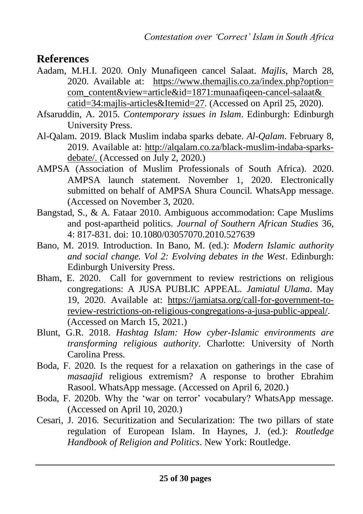### **References**

- Aadam, M.H.I. 2020. Only Munafiqeen cancel Salaat. *Majlis*, March 28, 2020. Available at: https://www.themajlis.co.za/index.php?option= com\_content&view=article&id=1871:munaafiqeen-cancel-salaat& catid=34:majlis-articles&Itemid=27. (Accessed on April 25, 2020).
- Afsaruddin, A. 2015. *Contemporary issues in Islam*. Edinburgh: Edinburgh University Press.
- Al-Qalam. 2019. Black Muslim indaba sparks debate. *Al-Qalam*. February 8, 2019. Available at: http://alqalam.co.za/black-muslim-indaba-sparksdebate/. (Accessed on July 2, 2020.)
- AMPSA (Association of Muslim Professionals of South Africa). 2020. AMPSA launch statement. November 1, 2020. Electronically submitted on behalf of AMPSA Shura Council. WhatsApp message. (Accessed on November 3, 2020.
- Bangstad, S., & A. Fataar 2010. Ambiguous accommodation: Cape Muslims and post-apartheid politics. *Journal of Southern African Studies* 36, 4: 817-831. doi: 10.1080/03057070.2010.527639
- Bano, M. 2019. Introduction. In Bano, M. (ed.): *Modern Islamic authority and social change. Vol 2: Evolving debates in the West*. Edinburgh: Edinburgh University Press.
- Bham, E. 2020. Call for government to review restrictions on religious congregations: A JUSA PUBLIC APPEAL. *Jamiatul Ulama*. May 19, 2020. Available at: https://jamiatsa.org/call-for-government-toreview-restrictions-on-religious-congregations-a-jusa-public-appeal/. (Accessed on March 15, 2021.)
- Blunt, G.R. 2018. *Hashtag Islam: How cyber-Islamic environments are transforming religious authority*. Charlotte: University of North Carolina Press.
- Boda, F. 2020. Is the request for a relaxation on gatherings in the case of *masaajid* religious extremism? A response to brother Ebrahim Rasool. WhatsApp message. (Accessed on April 6, 2020.)
- Boda, F. 2020b. Why the 'war on terror' vocabulary? WhatsApp message. (Accessed on April 10, 2020.)
- Cesari, J. 2016. Securitization and Secularization: The two pillars of state regulation of European Islam. In Haynes, J. (ed.): *Routledge Handbook of Religion and Politics*. New York: Routledge.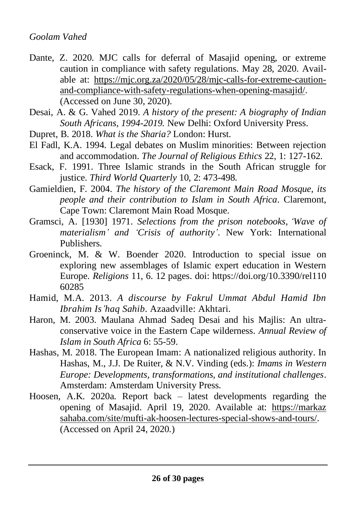- Dante, Z. 2020. MJC calls for deferral of Masajid opening, or extreme caution in compliance with safety regulations. May 28, 2020. Available at: [https://mjc.org.za/2020/05/28/mjc-calls-for-extreme-caution](https://mjc.org.za/2020/05/28/mjc-calls-for-extreme-caution-and-compliance-with-safety-regulations-when-opening-masajid/)[and-compliance-with-safety-regulations-when-opening-masajid/.](https://mjc.org.za/2020/05/28/mjc-calls-for-extreme-caution-and-compliance-with-safety-regulations-when-opening-masajid/) (Accessed on June 30, 2020).
- Desai, A. & G. Vahed 2019. *A history of the present: A biography of Indian South Africans, 1994-2019.* New Delhi: Oxford University Press.
- Dupret, B. 2018. *What is the Sharia?* London: Hurst.
- El Fadl, K.A. 1994. Legal debates on Muslim minorities: Between rejection and accommodation. *The Journal of Religious Ethics* 22, 1: 127-162.
- Esack, F. 1991. Three Islamic strands in the South African struggle for justice. *Third World Quarterly* 10, 2: 473-498.
- Gamieldien, F. 2004. *The history of the Claremont Main Road Mosque, its people and their contribution to Islam in South Africa*. Claremont, Cape Town: Claremont Main Road Mosque.
- Gramsci, A. [1930] 1971. *Selections from the prison notebooks, 'Wave of materialism' and 'Crisis of authority'*. New York: International Publishers.
- Groeninck, M. & W. Boender 2020. Introduction to special issue on exploring new assemblages of Islamic expert education in Western Europe. *Religions* 11, 6. 12 pages. doi: https://doi.org/10.3390/rel110 60285
- Hamid, M.A. 2013. *A discourse by Fakrul Ummat Abdul Hamid Ibn Ibrahim Is'haq Sahib*. Azaadville: Akhtari.
- Haron, M. 2003. Maulana Ahmad Sadeq Desai and his Majlis: An ultraconservative voice in the Eastern Cape wilderness. *Annual Review of Islam in South Africa* 6: 55-59.
- Hashas, M. 2018. The European Imam: A nationalized religious authority. In Hashas, M., J.J. De Ruiter, & N.V. Vinding (eds.): *Imams in Western Europe: Developments, transformations, and institutional challenges*. Amsterdam: Amsterdam University Press.
- Hoosen, A.K. 2020a. Report back latest developments regarding the opening of Masajid. April 19, 2020. Available at: https://markaz sahaba.com/site/mufti-ak-hoosen-lectures-special-shows-and-tours/. (Accessed on April 24, 2020.)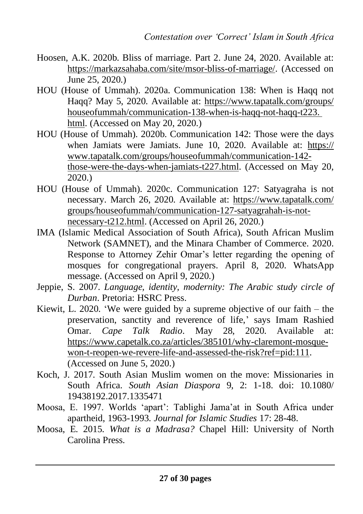- Hoosen, A.K. 2020b. Bliss of marriage. Part 2. June 24, 2020. Available at: https://markazsahaba.com/site/msor-bliss-of-marriage/. (Accessed on June 25, 2020.)
- HOU (House of Ummah). 2020a. Communication 138: When is Haqq not Haqq? May 5, 2020. Available at: https://www.tapatalk.com/groups/ houseofummah/communication-138-when-is-haqq-not-haqq-t223. html. (Accessed on May 20, 2020.)
- HOU (House of Ummah). 2020b. Communication 142: Those were the days when Jamiats were Jamiats. June 10, 2020. Available at: https:// www.tapatalk.com/groups/houseofummah/communication-142 those-were-the-days-when-jamiats-t227.html. (Accessed on May 20, 2020.)
- HOU (House of Ummah). 2020c. Communication 127: Satyagraha is not necessary. March 26, 2020. Available at: https://www.tapatalk.com/ groups/houseofummah/communication-127-satyagrahah-is-notnecessary-t212.html. (Accessed on April 26, 2020.)
- IMA (Islamic Medical Association of South Africa), South African Muslim Network (SAMNET), and the Minara Chamber of Commerce. 2020. Response to Attorney Zehir Omar's letter regarding the opening of mosques for congregational prayers. April 8, 2020. WhatsApp message. (Accessed on April 9, 2020.)
- Jeppie, S. 2007. *Language, identity, modernity: The Arabic study circle of Durban*. Pretoria: HSRC Press.
- Kiewit, L. 2020. 'We were guided by a supreme objective of our faith the preservation, sanctity and reverence of life,' says Imam Rashied Omar. *Cape Talk Radio*. May 28, 2020. Available at: [https://www.capetalk.co.za/articles/385101/why-claremont-mosque](https://www.capetalk.co.za/articles/385101/why-claremont-mosque-won-t-reopen-we-revere-life-and-assessed-the-risk?ref=pid:111)[won-t-reopen-we-revere-life-and-assessed-the-risk?ref=pid:111.](https://www.capetalk.co.za/articles/385101/why-claremont-mosque-won-t-reopen-we-revere-life-and-assessed-the-risk?ref=pid:111)  $\overline{A}$ ccessed on June 5, 2020.)
- Koch, J. 2017. South Asian Muslim women on the move: Missionaries in South Africa. *South Asian Diaspora* 9, 2: 1-18. doi: 10.1080/ 19438192.2017.1335471
- Moosa, E. 1997. Worlds 'apart': Tablighi Jama'at in South Africa under apartheid, 1963-1993. *Journal for Islamic Studies* 17: 28-48.
- Moosa, E. 2015. *What is a Madrasa?* Chapel Hill: University of North Carolina Press.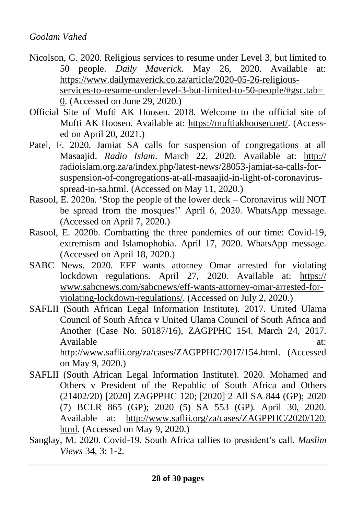- Nicolson, G. 2020. Religious services to resume under Level 3, but limited to 50 people. *Daily Maverick*. May 26, 2020. Available at: https://www.dailymaverick.co.za/article/2020-05-26-religiousservices-to-resume-under-level-3-but-limited-to-50-people/#gsc.tab= 0. (Accessed on June 29, 2020.)
- Official Site of Mufti AK Hoosen. 2018. Welcome to the official site of Mufti AK Hoosen. Available at: [https://muftiakhoosen.net/.](https://muftiakhoosen.net/) (Accessed on April 20, 2021.)
- Patel, F. 2020. Jamiat SA calls for suspension of congregations at all Masaajid. *Radio Islam*. March 22, 2020. Available at: http:// radioislam.org.za/a/index.php/latest-news/28053-jamiat-sa-calls-forsuspension-of-congregations-at-all-masaajid-in-light-of-coronavirusspread-in-sa.html. (Accessed on May 11, 2020.)
- Rasool, E. 2020a. 'Stop the people of the lower deck Coronavirus will NOT be spread from the mosques!' April 6, 2020. WhatsApp message. (Accessed on April 7, 2020.)
- Rasool, E. 2020b. Combatting the three pandemics of our time: Covid-19, extremism and Islamophobia. April 17, 2020. WhatsApp message. (Accessed on April 18, 2020.)
- SABC News. 2020. EFF wants attorney Omar arrested for violating lockdown regulations. April 27, 2020. Available at: https:// www.sabcnews.com/sabcnews/eff-wants-attorney-omar-arrested-forviolating-lockdown-regulations/. (Accessed on July 2, 2020.)
- SAFLII (South African Legal Information Institute). 2017. United Ulama Council of South Africa v United Ulama Council of South Africa and Another (Case No. 50187/16), ZAGPPHC 154. March 24, 2017. Available at: [http://www.saflii.org/za/cases/ZAGPPHC/2017/154.html.](http://www.saflii.org/za/cases/ZAGPPHC/2017/154.html) (Accessed

on May 9, 2020.) SAFLII (South African Legal Information Institute). 2020. Mohamed and

- Others v President of the Republic of South Africa and Others (21402/20) [2020] ZAGPPHC 120; [2020] 2 All SA 844 (GP); 2020 (7) BCLR 865 (GP); 2020 (5) SA 553 (GP). April 30, 2020. Available at: http://www.saflii.org/za/cases/ZAGPPHC/2020/120. html. (Accessed on May 9, 2020.)
- Sanglay, M. 2020. Covid-19. South Africa rallies to president's call. *Muslim Views* 34, 3: 1-2.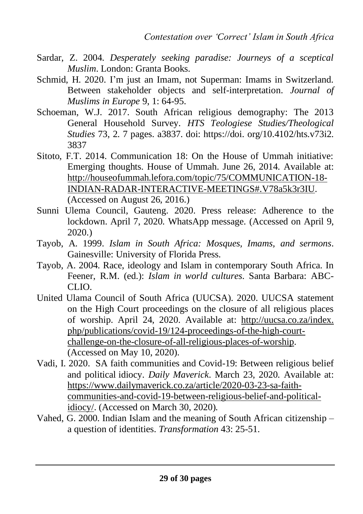- Sardar, Z. 2004. *Desperately seeking paradise: Journeys of a sceptical Muslim*. London: Granta Books.
- Schmid, H. 2020. I'm just an Imam, not Superman: Imams in Switzerland. Between stakeholder objects and self-interpretation. *Journal of Muslims in Europe* 9, 1: 64-95.
- Schoeman, W.J. 2017. South African religious demography: The 2013 General Household Survey. *HTS Teologiese Studies/Theological Studies* 73, 2. 7 pages. a3837. doi: https://doi. org/10.4102/hts.v73i2. 3837
- Sitoto, F.T. 2014. Communication 18: On the House of Ummah initiative: Emerging thoughts. House of Ummah. June 26, 2014. Available at: http://houseofummah.lefora.com/topic/75/COMMUNICATION-18- INDIAN-RADAR-INTERACTIVE-MEETINGS#.V78a5k3r3IU. (Accessed on August 26, 2016.)
- Sunni Ulema Council, Gauteng. 2020. Press release: Adherence to the lockdown. April 7, 2020. WhatsApp message. (Accessed on April 9, 2020.)
- Tayob, A. 1999. *Islam in South Africa: Mosques, Imams, and sermons*. Gainesville: University of Florida Press.
- Tayob, A. 2004. Race, ideology and Islam in contemporary South Africa. In Feener, R.M. (ed.): *Islam in world cultures*. Santa Barbara: ABC-CLIO.
- United Ulama Council of South Africa (UUCSA). 2020. UUCSA statement on the High Court proceedings on the closure of all religious places of worship. April 24, 2020. Available at: http://uucsa.co.za/index. php/publications/covid-19/124-proceedings-of-the-high-courtchallenge-on-the-closure-of-all-religious-places-of-worship. (Accessed on May 10, 2020).
- Vadi, I. 2020. SA faith communities and Covid-19: Between religious belief and political idiocy. *Daily Maverick*. March 23, 2020. Available at: [https://www.dailymaverick.co.za/article/2020-03-23-sa-faith](https://www.dailymaverick.co.za/article/2020-03-23-sa-faith-communities-and-covid-19-between-religious-belief-and-political-idiocy/)[communities-and-covid-19-between-religious-belief-and-political](https://www.dailymaverick.co.za/article/2020-03-23-sa-faith-communities-and-covid-19-between-religious-belief-and-political-idiocy/)[idiocy/.](https://www.dailymaverick.co.za/article/2020-03-23-sa-faith-communities-and-covid-19-between-religious-belief-and-political-idiocy/) (Accessed on March 30, 2020).
- Vahed, G. 2000. Indian Islam and the meaning of South African citizenship a question of identities. *Transformation* 43: 25-51.